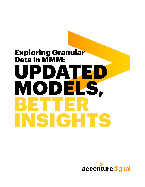# UPDATED MODELS, BETTER SIGHTS Exploring Granular Data in MMM:

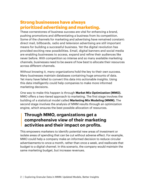# **Strong businesses have always prioritized advertising and marketing.**

These cornerstones of business success are vital for enhancing a brand, pushing promotions and differentiating a business from its competition. Some of the channels for marketing and advertising have remained constant: direct mail, billboards, radio and television advertising are still important means for building a successful business. Yet the digital revolution has provided exciting new possibilities. Email, digital banners and social media are enabling businesses to access, expand and refine their audiences like never before. With competition so intense and so many available marketing channels, businesses need to be aware of how best to allocate their resources across different channels.

Without knowing it, many organizations hold the key to their own success. Many businesses maintain databases containing huge amounts of data. Yet many have failed to convert this data into actionable insights. Using this data intelligently could help companies to make more informed marketing decisions.

One way to make this happen is through **Market Mix Optimization (MMO).**  MMO offers a two-tiered approach to marketing. The first stage involves the building of a statistical model called **Marketing Mix Modeling (MMM).** The second stage involves the analysis of MMM results through an optimization engine, which ensures the best possible allocation of resources.

# **Through MMO, organizations get a comprehensive view of their marketing activities and their impact on profits.**

This empowers marketers to identify potential new areas of investment or isolate areas of spending that can be cut without adverse effect. For example, MMO could help a company make an informed decision to reduce circular advertisements to once a month, rather than once a week, and reallocate that budget to a digital channel. In this scenario, the company would maintain the same marketing budget, but increase revenues.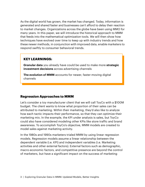As the digital world has grown, the market has changed. Today, information is generated and shared faster and businesses can't afford to delay their reaction to market changes. Organizations across the globe have been using MMO for many years. In this paper, we will introduce the historical approach to MMM that feeds into the mathematical optimization tools. We will then show how techniques have evolved over time to keep up with industry trends and how these newer methods, in conjunction with improved data, enable marketers to respond swiftly to consumer behavioral trends.

#### **KEY LEARNINGS:**

**Granular data** you already have could be used to make more **strategic investment decisions** across advertising channels

**The evolution of MMM** accounts for newer, faster-moving digital channels

#### **Regression Approaches to MMM**

Let's consider a toy manufacturer client that we will call ToyCo with a \$100M budget. The client wants to know what proportion of their sales can be attributed to marketing. Within their marketing, they'd also like to analyze how each tactic impacts their performance, so that they can optimize their marketing mix. In the example, the KPI under analysis is sales, but ToyCo could also have considered modeling other KPIs like store traffic and brand awareness. To accomplish ToyCo's objective, MMM models are created to model sales against marketing activity.

In the 1980s and 1990s marketers trialed MMM by using linear regression models. Regression models assume a linear relationship between the dependent variable (i.e. KPI) and independent variables (i.e. Marketing activities and other external factors). External factors such as demographic, macro-economic factors, and competitive presence are beyond the control of marketers, but have a significant impact on the success of marketing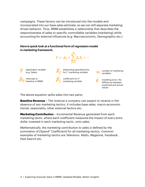campaigns. These factors can be introduced into the models and incorporated into our base sales estimate, so we can still separate marketing driven behavior. Thus, MMM establishes a relationship that describes the responsiveness of sales to specific controllable variables (marketing) while accounting for external influences (e.g. Macroeconomic, Demographic etc.)

#### **Here is quick look at a functional form of regression model in marketing framework:**



The above equation splits sales into two parts:

**Baseline Revenue** – The revenue a company can expect to receive in the absence of any marketing tactics. It includes base sales, macro-economic trends, seasonality, other external factors etc.

**Marketing Contribution** – Incremental Revenue generated from each marketing tactic, where each coefficient measures the impact of every extra dollar invested in each marketing tactic, onto sales.

*Mathematically, the marketing contribution to sales is defined by the summation of [Spend\* Coefficient] for all marketing tactics. Common examples of marketing tactics are Television, Radio, Magazine, Facebook, Paid Search etc.*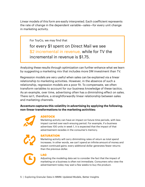Linear models of this form are easily interpreted. Each coefficient represents the rate of change in the dependent variable—sales—for every unit change in marketing activity.

For ToyCo, we may find that

for every \$1 spent on Direct Mail we see \$2 incremental in revenue, while for TV the incremental in revenue is \$1.75.

Analyzing these results through optimization can further enhance what we learn by suggesting a marketing mix that includes more DM investment than TV.

Regression models are very useful when sales can be explained via a linear relationship to marketing activities. However, in the absence of such a relationship, regression models are a poor fit. To compensate, we often transform variables to account for our business knowledge of these tactics. As an example, over time, advertising often has a diminishing effect on sales. There isn't, therefore, a straightforwardly linear relationship between sales and marketing channels.

**Accenture captures this volatility in advertising by applying the following, non-linear transformations to the marketing activities:**



#### **ADSTOCK**

Marketing activity can have an impact on future time periods, with less impact carried over each ensuing period. For example, if a business advertises 100 units in week 1, it is expected that the impact of that advertisement recedes in the consumer's memory.



#### **SATURATION**

Marketing activity will carry diminishing rates of return as total spend increases. In other words, we can't spend an infinite amount of money and expect continued gains: every additional dollar generates fewer returns than the previous dollar.



#### **LAG**

Adjusting the modeling data set to consider the fact that the impact of marketing on a business is often not immediate. Consumers who view the advertisement today may wait a few weeks to buy the product.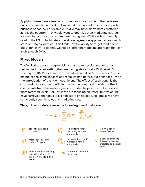Applying these transformations to the data solves some of the problems presented by a linear model. However, it does not address other important business concerns. For example, ToyCo may have many stores scattered across the country. They would want to optimize their marketing strategy for each individual store or direct marketing area (DMA) as is commonly used in the US. Unfortunately, the above regression approaches view each store or DMA as identical. This limits ToyCo's ability to target media buys geographically. To do this, we need a different modeling approach that can analyze each DMA.

#### **Mixed Models**

ToyCo liked the easy interpretability that the regression models offer but wanted to start setting their marketing strategy at a DMA level. By treating the DMA's as "panels", we create a so-called "mixed model", which maintains the same linear relationship we had before, but enhances it with the introduction of a random coefficient. The effect of each panel is then captured by a random coefficient, which in conjunction with the fixed coefficients from the linear regression model, helps construct models at more targeted levels. For ToyCo we are focusing on DMAs, but we could have narrowed the focus to a single store or zip code, so long as we have sufficiently specific sales and marketing data.

#### **Thus, mixed models take on the following functional form:**

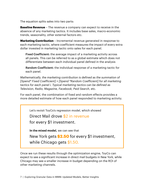The equation splits sales into two parts:

**Baseline Revenue** – The revenue a company can expect to receive in the absence of any marketing tactics. It includes base sales, macro-economic trends, seasonality, other external factors etc.

**Marketing Contribution** – Incremental revenue generated in response to each marketing tactic, where coefficient measures the impact of every extra dollar invested in marketing tactic onto sales for each panel.

Fixed Coefficient: the average impact of a marketing activity across all panels. This can be referred to as a global estimate which does not differentiate between each individual panel defined in the analysis

Random Coefficient: the individual response of a marketing tactic for each panel.

*Mathematically, the marketing contribution is defined as the summation of [Spend\* Fixed Coefficient] + [Spend \*Random Coefficient] for all marketing tactics for each panel i. Typical marketing tactics can be defined as Television, Radio, Magazine, Facebook, Paid Search, etc.* 

For each panel, the combination of fixed and random effects provides a more detailed estimate of how each panel responded to marketing activity.

Let's revisit ToyCo's regression model, which showed

Direct Mail drove \$2 in revenue

for every \$1 investment.

**In the mixed model,** we can see that

New York gets **\$2.50** for every \$1 investment, while Chicago gets \$1.50.

Once we run these results through the optimization engine, ToyCo can expect to see a significant increase in direct mail budgets in New York, while Chicago may see a smaller increase in budget depending on the ROI of other marketing channels.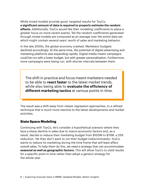While mixed models provide good, targeted results for ToyCo, **a significant amount of data is required to properly estimate the random effects.** Additionally, ToyCo would like their modeling coefficients to place a greater focus on more recent events. Yet the random coefficients generated through mixed models are computed as an average over the entire data set, which might contain several years' worth of sales and marketing behavior.

In the late 2000s, the global economy crashed. Marketers' budgets declined accordingly. At the same time, the potential of digital advertising and marketing platforms was expanding rapidly. Digital media meant campaigns could be run with a lower budget, but with greater personalization. Furthermore, more campaigns were being run, with shorter intervals between them.

The shift in practice and focus meant marketers needed to be able to **react faster** to the latest market trends, while also being able to **evaluate the efficiency of different marketing tactics** at various points in time.

The result was a shift away from classic regression approaches, to a refined technique that is much more reactive to the latest developments and market activities.

#### **State Space Modeling**

Continuing with ToyCo, let's consider a hypothetical scenario where they face a sharp decline in sales due to macro-economic factors and, as a result, decide to reduce their marketing budget from \$100M to \$75M, a 25% reduction. Yet they don't want to cut their budget indiscriminately: ToyCo wants to reduce its marketing during the time frame that will least affect overall sales. To help them do this, we need a strategy that can accommodate **seasonal as well as geographic factors.** This will allow ToyCo to yield results for a specific point in time rather than adopt a generic strategy for the whole year.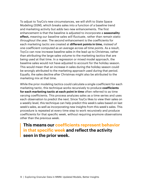To adjust to ToyCo's new circumstances, we will shift to State Space Modeling (SSM), which breaks sales into a function of a baseline trend and marketing activity but adds two new enhancements. The first enhancement is that the baseline is adjusted to incorporate a **seasonality effect,** *meaning our baseline sales will fluctuate, rather than remain static throughout the year.* The second enhancement is the coefficients for each marketing tactic are created at **different points in time,** *instead of one coefficient computed as an average across all time points.* As a result, ToyCo can now increase baseline sales in the lead up to Christmas, rather than attributing the large sales volume to the marketing tactics that are being used at that time. In a regression or mixed model approach, the baseline sales would not have adjusted to account for the holiday season. This would mean that an increase in sales during the holiday season could be wrongly attributed to the marketing approach used during that period. Equally, the sales decline after Christmas might also be attributed to the marketing mix at that time.

While the prior modeling tactics could calculate a single coefficient for each marketing tactic, this technique works recursively to produce **coefficients for each marketing tactic at each point in time** often referred to as time varying coefficients. This process analyzes sales as a time series and uses each observation to predict the next. Since ToyCo likes to view their sales on a weekly level, this technique can help predict this week's sales based on last week's sales, as well as incorporating new insights from this week's sales. This procedure is repeated at every time step to work recursively and produce coefficients for that specific week, without requiring anymore observations other than the previous week.

**This means our coefficients represent behavior in that specific week and reflect the activity seen in the prior week.**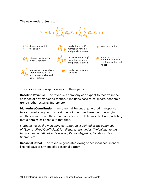#### **The new model adjusts to:**



The above equation splits sales into three parts:

**Baseline Revenue** – The revenue a company can expect to receive in the absence of any marketing tactics. It includes base sales, macro-economic trends, other external factors etc.

**Marketing Contribution** – Incremental Revenue generated in response to each marketing tactic at a single point in time. Here the time varying coefficient measures the impact of every extra dollar invested in a marketing tactic onto sales specific to that time.

*Mathematically, the marketing contribution is defined as the summation of [Spend\* Fixed Coefficient] for all marketing tactics. Typical marketing tactics can be defined as Television, Radio, Magazine, Facebook, Paid Search, etc.*

**Seasonal Effect** – The revenue generated owing to seasonal occurrences like holidays or any specific seasonal pattern.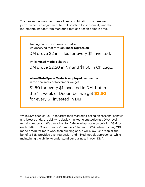The new model now becomes a linear combination of a baseline performance, an adjustment to that baseline for seasonality and the incremental impact from marketing tactics at each point in time.



While SSM enables ToyCo to target their marketing based on seasonal behavior and latest trends, the ability to deploy marketing strategies at a DMA level remains important. We can adjust for DMA level variation by building SSM for each DMA. ToyCo can create 210 models, 1 for each DMA. While building 210 models requires more work than building one, it will allow us to reap all the benefits SSM provided over regression and mixed models approaches, while maintaining the ability to understand our business in each DMA.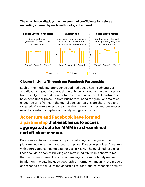#### **The chart below displays the movement of coefficients for a single marketing channel by each methodology discussed.**



#### **Clearer Insights Through our Facebook Partnership**

Each of the modeling approaches outlined above has its advantages and disadvantages. Yet a model can only be as good as the data used to train the algorithm and identify trends. In recent years, IT departments have been under pressure from businesses' need for granular data at an expedited time frame. In the digital age, campaigns are short-lived and targeted. Marketers need to react as the market changes and businesses need to constantly capture and analyze digital activity.

# **Accenture and Facebook have formed a partnership that enables us to access aggregated data for MMM in a streamlined and efficient manner.**

Facebook captures the results of paid marketing campaigns on their platform and once client approval is in place, Facebook provides Accenture with aggregated campaign data for use in MMM. The quick fed results of Facebook data enables building and refreshing MMMs in a shorter time that helps measurement of shorter campaigns in a more timely manner. In addition, the data includes geographic information, meaning the models can respond both quickly and according to geographically-specific activity.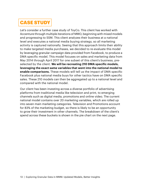# **CASE STUDY**

Let's consider a further case study of ToyCo. This client has worked with Accenture through multiple iterations of MMO, beginning with mixed models and progressing to SSM. This client analyzes their business at a national level and executes a national media buying strategy, so all marketing activity is captured nationally. Seeing that this approach limits their ability to make targeted media purchases, we decided to re-evaluate this model by leveraging granular campaign data provided from Facebook, to produce a DMA specific model. This model focuses on sales and marketing data from May 2014 through April 2017 for one subset of this client's business, preselected by the client. **We will be recreating 210 DMA specific models, leveraging the exact same variables that went into the national model to enable comparisons.** These models will tell us the impact of DMA specific Facebook plus national media buys for other tactics have on DMA specific sales. These 210 models can then be aggregated up to a national level and compared with the national model.

Our client has been investing across a diverse portfolio of advertising platforms from traditional media like television and print, to emerging channels such as digital media, promotions and online video. The current national model contains over 20 marketing variables, which are rolled up into seven main marketing categories. Television and Promotions account for 83% of the marketing budget, so there is likely to be an opportunity to grow their investment in other channels. The breakdown of the client's spend across these buckets is shown in the pie chart on the next page.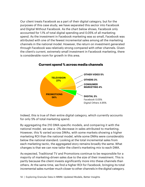Our client treats Facebook as a part of their digital category, but for the purposes of this case study, we have separated this sector into Facebook and Digital Without Facebook. As the chart below shows, Facebook only accounted for 1.1% of total digital spending and 0.05% of all marketing spend. As the investment in Facebook marketing was so small, Facebook was attributed with one of the fewest incremental sales among all the marketing channels in the national model. However, the return on investment generated through Facebook was relatively strong compared with other channels. Given the client's current, extremely small investment in Facebook marketing, there is considerable room for growth in this area.



#### **Current spend % across media channels**

Indeed, this is true of their entire digital category, which currently accounts for only 5% of total marketing spend.

By aggregating the 210 DMA specific models, and comparing it with the national model, we saw a ~2% decrease in sales attributed to marketing. However, this % varied across DMAs, with some markets showing a higher marketing ROI than the national model, while some DMAs were considerably below the national standard. Looking at the total incremental sales from each marketing tactic, the aggregated story remains broadly the same. What changes is that we can now tailor the client's marketing mix to each DMA.

As expected, Traditional TV and Promotions continue to be responsible for a majority of marketing-driven sales due to the size of their investment. This is partly because the client invests significantly more into these channels than others. At the same time, we find a higher ROI for Facebook, bringing its total incremental sales number much closer to other channels in the digital category.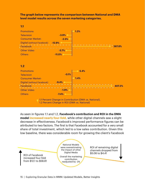**The graph below represents the comparison between National and DMA level model results across the seven marketing categories.**

**1.1 Percent Change in Contribution (DMA vs. National),** Promotions **1.3% 387.8% 5.4% 1.4% -3.9% -2.5% -5.7% -11.0% -9.4% -1.9% -7.4% -0.1% -12.9% 407.3% Television** Consumer Market-Digital (without Facebook) Facebook Other Video **Others Promotions Television** Consumer Market-Digital (without Facebook) Facebook Other Video **Others 1.1 1.2**

1.2 Percent Change in ROI (DMA vs. National)

As seen in figures 1.1 and 1.2, **Facebook's contribution and ROI in the DMA model increased nearly four-fold,** while other digital channels saw a slight decrease in effectiveness. Facebook's improved performance figures can be attributed to two factors. The first is that Facebook accounted for a very small share of total investment, which led to a low sales contribution. Given this low baseline, there was considerable room for growing the client's Facebook

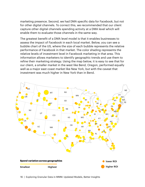marketing presence. Second, we had DMA specific data for Facebook, but not for other digital channels. To correct this, we recommended that our client capture other digital channels spending activity at a DMA level which will enable them to evaluate those channels in the same way.

The greatest benefit of a DMA level model is that it enables businesses to assess the impact of Facebook in each local market. Below, you can see a bubble chart of the US, where the size of each bubble represents the relative performance of Facebook in that market. The color shading represents the relative levels of investment level in Facebook marketing in that area. This information allows marketers to identify geographic trends and use them to refine their marketing strategy. Using the map below, it is easy to see that for our client, a smaller market in the west like Bend, Oregon, performed equally well as a major east coast market like New York, but with the caveat that investment was much higher in New York than in Bend.

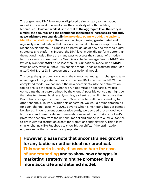The aggregated DMA level model displayed a similar story to the national model. On one level, this reinforces the credibility of both modeling techniques. **However, while it is true that at the aggregate level the story is similar, the accuracy and the confidence in the model increases significantly as we add more regional detail: the more data points we add, the easier to identify the relationship.** The other advantage of using greater detail and regionally sourced data, is that it allows the model to be more responsive to recent developments. This makes it a better gauge of new and evolving digital strategies and platforms. Indeed, the DMA level model did perform better than the national model. There are many ways to assess the strength of a model: for this case-study, we used the Mean Absolute Percentage Error or **MAPE.** We typically want our **MAPE** to be less than 5%. Our national model had a **MAPE**  value of *4.8%*, while our new DMA specific model, once aggregated, produced a *4.2%* MAPE, a 12.5% improvement on our national model.

This begs the question: how should the client's marketing mix change to take advantage of the greater accuracy of the new DMA specific model? With a completed model, we can input the new coefficients into the optimization tool to analyze the results. When we run optimization scenarios, we use constraints that are pre-defined by the client. A possible constraint might be that, due to internal business dynamics, a client is unwilling to reduce their Promotions budget by more than 50% in order to reallocate spending to other channels. To work within this constraint, we would define thresholds for each channel, usually +/-20%, beyond which a marketing budget cannot be altered. In our current comparative study, we decided that a good way to understand pure model recommendations would be to take our client's preferred scenario from the national model and amend it to allow all tactics to grow without restriction except for promotions and television. This allows smaller channels like Facebook to show bigger shifts, if the optimization engine deems that to be more appropriate.

**However, please note that unconstrained growth for any tactic is neither ideal nor practical. This scenario is only discussed here for ease of understanding and to show how changes in marketing strategy might be prompted by a more accurate and detailed model.**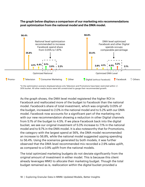**The graph below displays a comparison of our marketing mix recommendations post optimization from the national model and the DMA model.** 



\*In the optimization scenario displayed above only Television and Promotions have been restricted within +/- 30% bucket. All other media tactics were left unrestricted to gauge their recommended growth.

As the graph shows, the DMA level model registered the higher ROI in Facebook and reallocated more of the budget to Facebook than the national model. Facebook's share of total investment, which was originally 0.05% of the budget, increased to 2.0% in the national model and to 5.2% with our DMA model. Facebook now accounts for a significant part of the marketing mix with our new recommendation showing a reduction in other Digital channels from 5.1% of the budget to 4.5%. If we place Facebook back into the digital bucket, we see our original investment of 5.0% increase to 7.1% in the national model and to 9.7% in the DMA model. It is also noteworthy that for Promotions, the category with the largest spend at 56%, the DMA model recommended an increase to 56.8%, while the national model suggested upping spending to 56.4%. Using the scenarios generated by both models, it was further observed that the DMA level recommended mix recorded a 2.9% sales uplift, as compared to a 0.9% uplift from the national models.

The total optimized marketing budgets do not deviate significantly from the original amount of investment in either model. This is because this client already leverages MMO to allocate their marketing budget. Though the total budget remained as is, reallocation within the digital bucket provided a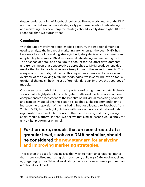deeper understanding of Facebook behavior. The main advantage of the DMA approach is that we can now strategically purchase Facebook advertising and marketing. This new, targeted strategy should ideally drive higher ROI for Facebook than we currently see.

#### **Conclusion**

With the rapidly evolving digital media spectrum, the traditional methods used to analyze the impact of marketing are no longer the best. MMM has become a key tool for making strategic budgetary decisions; its accuracy and adaptability have made MMM an essential advertising and marketing tool. The absence of detail and a failure to account for the latest developments and trends, mean that conservative approaches to MMM produce lopsided results that fail to give businesses a true picture of the impact of media. This is especially true of digital media. This paper has attempted to provide an overview of the evolving MMM methodologies, while showing—with a focus on digital channels—how the use of granular data can improve the accuracy of models.

Our case-study sheds light on the importance of using granular data. It clearly shows that a highly-detailed and targeted DMA level model enables a more comprehensive assessment of the benefits of individual marketing channels and especially digital channels such as Facebook. The recommendation to increase the proportion of the marketing budget allocated to Facebook from 2.0% to 5.2%, further highlights how with more accurate and detailed data, organizations can make better use of this ever-evolving and fast growing social media platform. Indeed, we believe that similar lessons would apply for any digital platform or channel.

**Furthermore, models that are constructed at a granular level, such as a DMA or similar, should be considered the new standard for analyzing and improving marketing strategies.**

This is even the case for businesses that wish to maintain a national, rather than more localized marketing plan: as shown, building a DMA level model and aggregating up to a National level, still provides a more accurate picture than a National level model.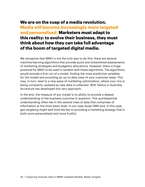# **We are on the cusp of a media revolution. Media will become increasingly more targeted and personalized. Marketers must adapt to this reality: to evolve their business, they must think about how they can take full advantage of the boom of targeted digital media.**

We recognize that MMO is not the only way to do this: there are several machine learning algorithms that provide quick and streamlined assessments of marketing strategies and budgetary allocations. However, there is huge potential for MMO to be used in tandem with these algorithms. The algorithms would provide a first run of a model, finding the most predictive variables for the model and providing an up-to-date view of your customer-base. This may, in turn, lead to a new wave of marketing optimization, where your mix is being constantly updated as new data is collected. With Telstra in Australia, Accenture has developed this very approach.

In the end, the measure of any model is its ability to provide a deeper understanding of the business outcome in question. This quintessential understanding often lies in the several rows of data that comprises of information at the most basic level. In our case study DMA and, in this case, geo targeting might well hold the key to providing a marketing strategy that is both more personalized and more fruitful.